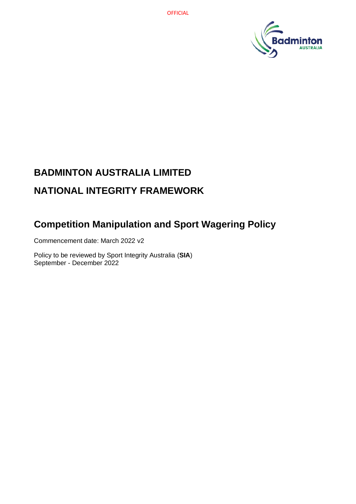

# **BADMINTON AUSTRALIA LIMITED NATIONAL INTEGRITY FRAMEWORK**

## **Competition Manipulation and Sport Wagering Policy**

Commencement date: March 2022 v2

Policy to be reviewed by Sport Integrity Australia (**SIA**) September - December 2022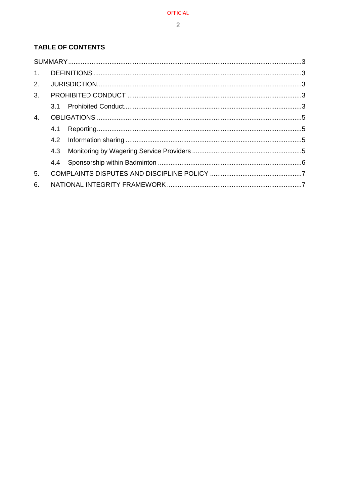### TABLE OF CONTENTS

| $\mathbf{1}$ . |  |  |  |
|----------------|--|--|--|
| 2.             |  |  |  |
| 3 <sub>1</sub> |  |  |  |
|                |  |  |  |
| 4.             |  |  |  |
|                |  |  |  |
|                |  |  |  |
|                |  |  |  |
|                |  |  |  |
| 5.             |  |  |  |
| 6.             |  |  |  |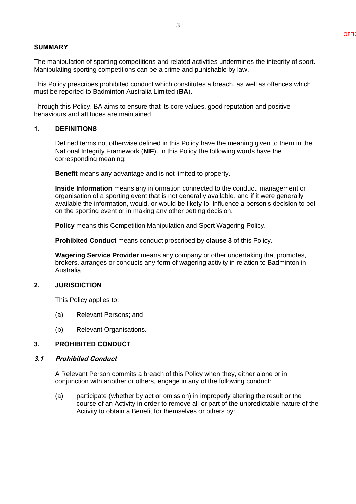#### <span id="page-2-0"></span>**SUMMARY**

The manipulation of sporting competitions and related activities undermines the integrity of sport. Manipulating sporting competitions can be a crime and punishable by law.

This Policy prescribes prohibited conduct which constitutes a breach, as well as offences which must be reported to Badminton Australia Limited (**BA**).

Through this Policy, BA aims to ensure that its core values, good reputation and positive behaviours and attitudes are maintained.

#### <span id="page-2-1"></span>**1. DEFINITIONS**

Defined terms not otherwise defined in this Policy have the meaning given to them in the National Integrity Framework (**NIF**). In this Policy the following words have the corresponding meaning:

**Benefit** means any advantage and is not limited to property.

**Inside Information** means any information connected to the conduct, management or organisation of a sporting event that is not generally available, and if it were generally available the information, would, or would be likely to, influence a person's decision to bet on the sporting event or in making any other betting decision.

**Policy** means this Competition Manipulation and Sport Wagering Policy.

**Prohibited Conduct** means conduct proscribed by **clause [3](#page-2-3)** of this Policy.

**Wagering Service Provider** means any company or other undertaking that promotes, brokers, arranges or conducts any form of wagering activity in relation to Badminton in Australia.

#### <span id="page-2-2"></span>**2. JURISDICTION**

This Policy applies to:

- (a) Relevant Persons; and
- (b) Relevant Organisations.

#### <span id="page-2-3"></span>**3. PROHIBITED CONDUCT**

#### <span id="page-2-4"></span>**3.1 Prohibited Conduct**

A Relevant Person commits a breach of this Policy when they, either alone or in conjunction with another or others, engage in any of the following conduct:

(a) participate (whether by act or omission) in improperly altering the result or the course of an Activity in order to remove all or part of the unpredictable nature of the Activity to obtain a Benefit for themselves or others by: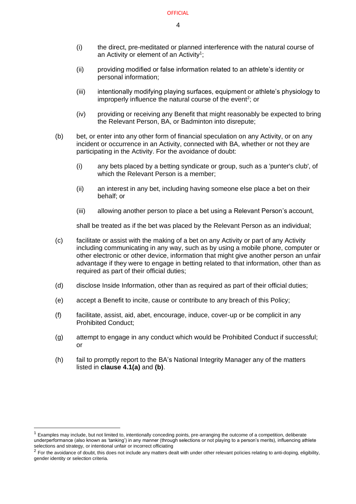- (i) the direct, pre-meditated or planned interference with the natural course of an Activity or element of an Activity<sup>1</sup>;
- (ii) providing modified or false information related to an athlete's identity or personal information;
- (iii) intentionally modifying playing surfaces, equipment or athlete's physiology to improperly influence the natural course of the event<sup>2</sup>; or
- (iv) providing or receiving any Benefit that might reasonably be expected to bring the Relevant Person, BA, or Badminton into disrepute;
- (b) bet, or enter into any other form of financial speculation on any Activity, or on any incident or occurrence in an Activity, connected with BA, whether or not they are participating in the Activity. For the avoidance of doubt:
	- (i) any bets placed by a betting syndicate or group, such as a 'punter's club', of which the Relevant Person is a member:
	- (ii) an interest in any bet, including having someone else place a bet on their behalf; or
	- (iii) allowing another person to place a bet using a Relevant Person's account,

shall be treated as if the bet was placed by the Relevant Person as an individual;

- (c) facilitate or assist with the making of a bet on any Activity or part of any Activity including communicating in any way, such as by using a mobile phone, computer or other electronic or other device, information that might give another person an unfair advantage if they were to engage in betting related to that information, other than as required as part of their official duties;
- (d) disclose Inside Information, other than as required as part of their official duties;
- (e) accept a Benefit to incite, cause or contribute to any breach of this Policy;
- (f) facilitate, assist, aid, abet, encourage, induce, cover-up or be complicit in any Prohibited Conduct;
- (g) attempt to engage in any conduct which would be Prohibited Conduct if successful; or
- (h) fail to promptly report to the BA's National Integrity Manager any of the matters listed in **clause [4.1\(a\)](#page-4-4)** and **[\(b\)](#page-4-5)**.

 $1$  Examples may include, but not limited to, intentionally conceding points, pre-arranging the outcome of a competition, deliberate underperformance (also known as 'tanking') in any manner (through selections or not playing to a person's merits), influencing athlete selections and strategy, or intentional unfair or incorrect officiating

 $<sup>2</sup>$  For the avoidance of doubt, this does not include any matters dealt with under other relevant policies relating to anti-doping, eligibility,</sup> gender identity or selection criteria.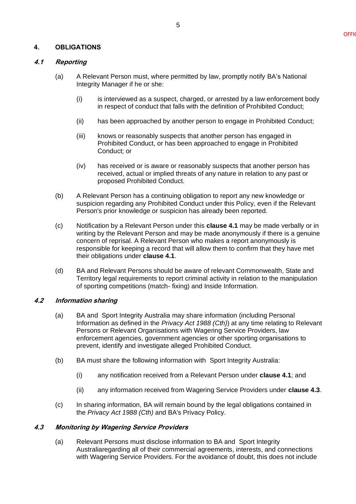#### <span id="page-4-0"></span>**4. OBLIGATIONS**

#### <span id="page-4-4"></span><span id="page-4-1"></span>**4.1 Reporting**

- (a) A Relevant Person must, where permitted by law, promptly notify BA's National Integrity Manager if he or she:
	- (i) is interviewed as a suspect, charged, or arrested by a law enforcement body in respect of conduct that falls with the definition of Prohibited Conduct;
	- (ii) has been approached by another person to engage in Prohibited Conduct;
	- (iii) knows or reasonably suspects that another person has engaged in Prohibited Conduct, or has been approached to engage in Prohibited Conduct; or
	- (iv) has received or is aware or reasonably suspects that another person has received, actual or implied threats of any nature in relation to any past or proposed Prohibited Conduct.
- <span id="page-4-5"></span>(b) A Relevant Person has a continuing obligation to report any new knowledge or suspicion regarding any Prohibited Conduct under this Policy, even if the Relevant Person's prior knowledge or suspicion has already been reported.
- (c) Notification by a Relevant Person under this **clause [4.1](#page-4-1)** may be made verbally or in writing by the Relevant Person and may be made anonymously if there is a genuine concern of reprisal. A Relevant Person who makes a report anonymously is responsible for keeping a record that will allow them to confirm that they have met their obligations under **clause [4.1](#page-4-1)**.
- (d) BA and Relevant Persons should be aware of relevant Commonwealth, State and Territory legal requirements to report criminal activity in relation to the manipulation of sporting competitions (match- fixing) and Inside Information.

#### <span id="page-4-2"></span>**4.2 Information sharing**

- (a) BA and Sport Integrity Australia may share information (including Personal Information as defined in the *Privacy Act 1988 (Cth)*) at any time relating to Relevant Persons or Relevant Organisations with Wagering Service Providers, law enforcement agencies, government agencies or other sporting organisations to prevent, identify and investigate alleged Prohibited Conduct.
- (b) BA must share the following information with Sport Integrity Australia:
	- (i) any notification received from a Relevant Person under **clause [4.1](#page-4-1)**; and
	- (ii) any information received from Wagering Service Providers under **clause [4.3](#page-4-3)**.
- (c) In sharing information, BA will remain bound by the legal obligations contained in the *Privacy Act 1988 (Cth)* and BA's Privacy Policy.

#### <span id="page-4-3"></span>**4.3 Monitoring by Wagering Service Providers**

(a) Relevant Persons must disclose information to BA and Sport Integrity Australiaregarding all of their commercial agreements, interests, and connections with Wagering Service Providers. For the avoidance of doubt, this does not include

5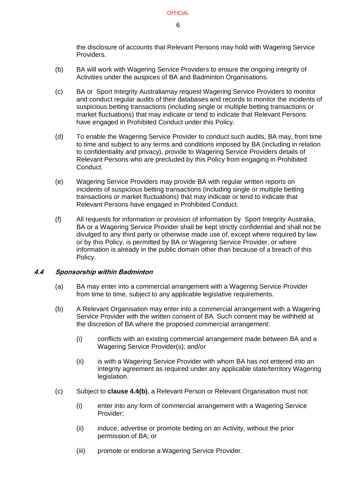the disclosure of accounts that Relevant Persons may hold with Wagering Service Providers.

- (b) BA will work with Wagering Service Providers to ensure the ongoing integrity of Activities under the auspices of BA and Badminton Organisations.
- (c) BA or Sport Integrity Australiamay request Wagering Service Providers to monitor and conduct regular audits of their databases and records to monitor the incidents of suspicious betting transactions (including single or multiple betting transactions or market fluctuations) that may indicate or tend to indicate that Relevant Persons have engaged in Prohibited Conduct under this Policy.
- (d) To enable the Wagering Service Provider to conduct such audits, BA may, from time to time and subject to any terms and conditions imposed by BA (including in relation to confidentiality and privacy), provide to Wagering Service Providers details of Relevant Persons who are precluded by this Policy from engaging in Prohibited Conduct.
- (e) Wagering Service Providers may provide BA with regular written reports on incidents of suspicious betting transactions (including single or multiple betting transactions or market fluctuations) that may indicate or tend to indicate that Relevant Persons have engaged in Prohibited Conduct.
- (f) All requests for information or provision of information by Sport Integrity Australia, BA or a Wagering Service Provider shall be kept strictly confidential and shall not be divulged to any third party or otherwise made use of, except where required by law or by this Policy, is permitted by BA or Wagering Service Provider, or where information is already in the public domain other than because of a breach of this Policy.

#### <span id="page-5-0"></span>**4.4 Sponsorship within Badminton**

- (a) BA may enter into a commercial arrangement with a Wagering Service Provider from time to time, subject to any applicable legislative requirements.
- <span id="page-5-1"></span>(b) A Relevant Organisation may enter into a commercial arrangement with a Wagering Service Provider with the written consent of BA. Such consent may be withheld at the discretion of BA where the proposed commercial arrangement:
	- (i) conflicts with an existing commercial arrangement made between BA and a Wagering Service Provider(s); and/or
	- (ii) is with a Wagering Service Provider with whom BA has not entered into an integrity agreement as required under any applicable state/territory Wagering legislation.
- (c) Subject to **clause [4.4\(b\)](#page-5-1)**, a Relevant Person or Relevant Organisation must not:
	- (i) enter into any form of commercial arrangement with a Wagering Service Provider;
	- (ii) induce, advertise or promote betting on an Activity, without the prior permission of BA; or
	- (iii) promote or endorse a Wagering Service Provider.